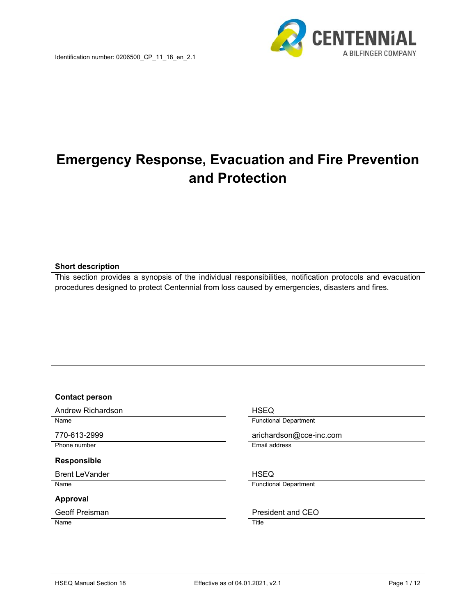

# **Emergency Response, Evacuation and Fire Prevention and Protection**

#### **Short description**

This section provides a synopsis of the individual responsibilities, notification protocols and evacuation procedures designed to protect Centennial from loss caused by emergencies, disasters and fires.

#### **Contact person**

Andrew Richardson **HSEQ** 

Phone number **Email address** 

## **Responsible**

Brent LeVander **HSEQ** 

#### **Approval**

Name Title

Name **Functional Department** 

770-613-2999 arichardson@cce-inc.com

Name **Functional Department** 

Geoff Preisman **President** and CEO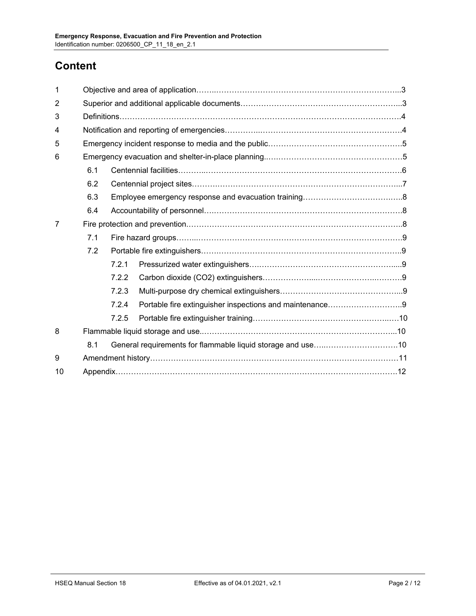## **Content**

| 1              |     |       |                                                         |  |  |  |  |
|----------------|-----|-------|---------------------------------------------------------|--|--|--|--|
| $\overline{2}$ |     |       |                                                         |  |  |  |  |
| 3              |     |       |                                                         |  |  |  |  |
| 4              |     |       |                                                         |  |  |  |  |
| 5              |     |       |                                                         |  |  |  |  |
| 6              |     |       |                                                         |  |  |  |  |
|                | 6.1 |       |                                                         |  |  |  |  |
|                | 6.2 |       |                                                         |  |  |  |  |
|                | 6.3 |       |                                                         |  |  |  |  |
|                | 6.4 |       |                                                         |  |  |  |  |
| 7              |     |       |                                                         |  |  |  |  |
|                | 7.1 |       |                                                         |  |  |  |  |
|                | 7.2 |       |                                                         |  |  |  |  |
|                |     | 7.2.1 |                                                         |  |  |  |  |
|                |     | 7.2.2 |                                                         |  |  |  |  |
|                |     | 7.2.3 |                                                         |  |  |  |  |
|                |     | 7.2.4 | Portable fire extinguisher inspections and maintenance9 |  |  |  |  |
|                |     | 7.2.5 |                                                         |  |  |  |  |
| 8              |     |       |                                                         |  |  |  |  |
|                | 8.1 |       |                                                         |  |  |  |  |
| 9              |     |       |                                                         |  |  |  |  |
| 10             |     |       |                                                         |  |  |  |  |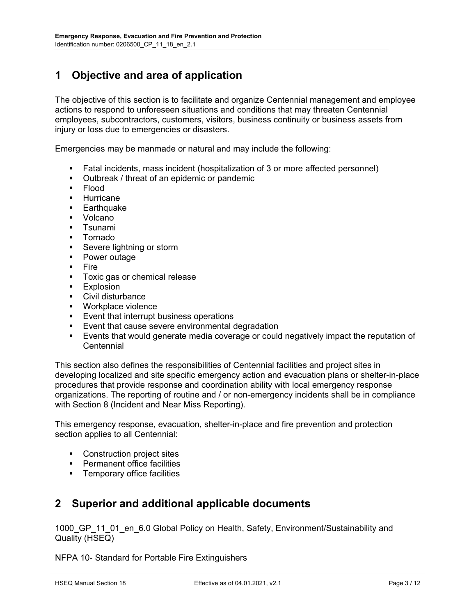## **1 Objective and area of application**

The objective of this section is to facilitate and organize Centennial management and employee actions to respond to unforeseen situations and conditions that may threaten Centennial employees, subcontractors, customers, visitors, business continuity or business assets from injury or loss due to emergencies or disasters.

Emergencies may be manmade or natural and may include the following:

- Fatal incidents, mass incident (hospitalization of 3 or more affected personnel)
- Outbreak / threat of an epidemic or pandemic
- **Flood**
- **Hurricane**
- **Earthquake**
- **•** Volcano
- **T**sunami
- Tornado
- **Severe lightning or storm**
- Power outage
- $\blacksquare$  Fire
- **Toxic gas or chemical release**
- **Explosion**
- Civil disturbance
- Workplace violence
- **Event that interrupt business operations**
- **Event that cause severe environmental degradation**
- Events that would generate media coverage or could negatively impact the reputation of **Centennial**

This section also defines the responsibilities of Centennial facilities and project sites in developing localized and site specific emergency action and evacuation plans or shelter-in-place procedures that provide response and coordination ability with local emergency response organizations. The reporting of routine and / or non-emergency incidents shall be in compliance with Section 8 (Incident and Near Miss Reporting).

This emergency response, evacuation, shelter-in-place and fire prevention and protection section applies to all Centennial:

- Construction project sites
- **•** Permanent office facilities
- **Temporary office facilities**

## **2 Superior and additional applicable documents**

1000 GP 11 01 en 6.0 Global Policy on Health, Safety, Environment/Sustainability and Quality (HSEQ)

NFPA 10- Standard for Portable Fire Extinguishers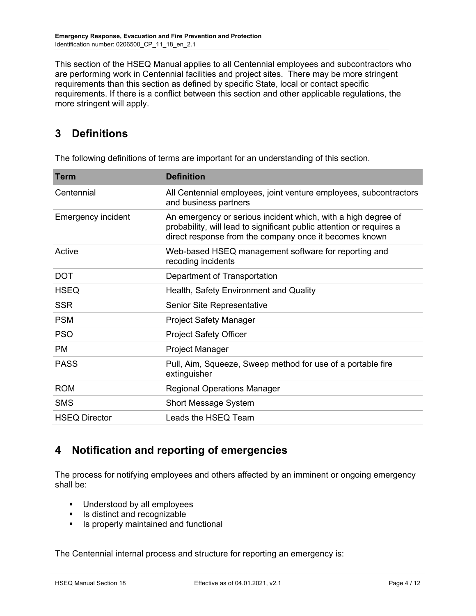This section of the HSEQ Manual applies to all Centennial employees and subcontractors who are performing work in Centennial facilities and project sites. There may be more stringent requirements than this section as defined by specific State, local or contact specific requirements. If there is a conflict between this section and other applicable regulations, the more stringent will apply.

## **3 Definitions**

| <b>Term</b>               | <b>Definition</b>                                                                                                                                                                               |
|---------------------------|-------------------------------------------------------------------------------------------------------------------------------------------------------------------------------------------------|
| Centennial                | All Centennial employees, joint venture employees, subcontractors<br>and business partners                                                                                                      |
| <b>Emergency incident</b> | An emergency or serious incident which, with a high degree of<br>probability, will lead to significant public attention or requires a<br>direct response from the company once it becomes known |
| Active                    | Web-based HSEQ management software for reporting and<br>recoding incidents                                                                                                                      |
| <b>DOT</b>                | Department of Transportation                                                                                                                                                                    |
| <b>HSEQ</b>               | Health, Safety Environment and Quality                                                                                                                                                          |
| <b>SSR</b>                | Senior Site Representative                                                                                                                                                                      |
| <b>PSM</b>                | <b>Project Safety Manager</b>                                                                                                                                                                   |
| <b>PSO</b>                | <b>Project Safety Officer</b>                                                                                                                                                                   |
| PM.                       | Project Manager                                                                                                                                                                                 |
| <b>PASS</b>               | Pull, Aim, Squeeze, Sweep method for use of a portable fire<br>extinguisher                                                                                                                     |
| <b>ROM</b>                | <b>Regional Operations Manager</b>                                                                                                                                                              |
| <b>SMS</b>                | <b>Short Message System</b>                                                                                                                                                                     |
| <b>HSEQ Director</b>      | Leads the HSEQ Team                                                                                                                                                                             |

The following definitions of terms are important for an understanding of this section.

## **4 Notification and reporting of emergencies**

The process for notifying employees and others affected by an imminent or ongoing emergency shall be:

- **Understood by all employees**
- Is distinct and recognizable
- **If** Is properly maintained and functional

The Centennial internal process and structure for reporting an emergency is: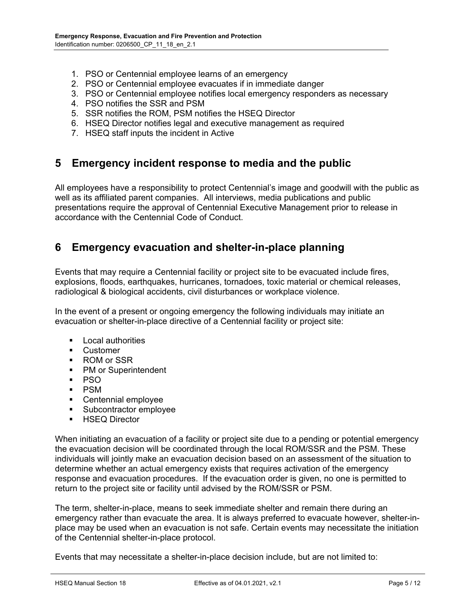- 1. PSO or Centennial employee learns of an emergency
- 2. PSO or Centennial employee evacuates if in immediate danger
- 3. PSO or Centennial employee notifies local emergency responders as necessary
- 4. PSO notifies the SSR and PSM
- 5. SSR notifies the ROM, PSM notifies the HSEQ Director
- 6. HSEQ Director notifies legal and executive management as required
- 7. HSEQ staff inputs the incident in Active

## **5 Emergency incident response to media and the public**

All employees have a responsibility to protect Centennial's image and goodwill with the public as well as its affiliated parent companies. All interviews, media publications and public presentations require the approval of Centennial Executive Management prior to release in accordance with the Centennial Code of Conduct.

## **6 Emergency evacuation and shelter-in-place planning**

Events that may require a Centennial facility or project site to be evacuated include fires, explosions, floods, earthquakes, hurricanes, tornadoes, toxic material or chemical releases, radiological & biological accidents, civil disturbances or workplace violence.

In the event of a present or ongoing emergency the following individuals may initiate an evacuation or shelter-in-place directive of a Centennial facility or project site:

- **Local authorities**
- **Customer**
- ROM or SSR
- PM or Superintendent
- PSO
- PSM
- Centennial employee
- **Subcontractor employee**
- **-** HSEQ Director

When initiating an evacuation of a facility or project site due to a pending or potential emergency the evacuation decision will be coordinated through the local ROM/SSR and the PSM. These individuals will jointly make an evacuation decision based on an assessment of the situation to determine whether an actual emergency exists that requires activation of the emergency response and evacuation procedures. If the evacuation order is given, no one is permitted to return to the project site or facility until advised by the ROM/SSR or PSM.

The term, shelter-in-place, means to seek immediate shelter and remain there during an emergency rather than evacuate the area. It is always preferred to evacuate however, shelter-inplace may be used when an evacuation is not safe. Certain events may necessitate the initiation of the Centennial shelter-in-place protocol.

Events that may necessitate a shelter-in-place decision include, but are not limited to: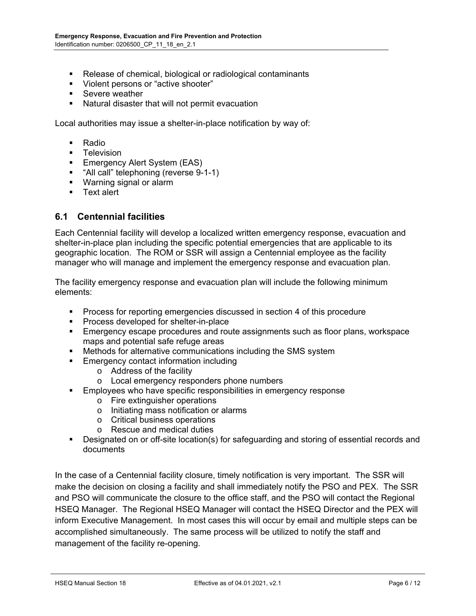- Release of chemical, biological or radiological contaminants
- **Violent persons or "active shooter"**
- **Severe weather**
- Natural disaster that will not permit evacuation

Local authorities may issue a shelter-in-place notification by way of:

- **Radio**
- Television
- **Emergency Alert System (EAS)**
- **"** "All call" telephoning (reverse 9-1-1)
- **Warning signal or alarm**
- **Text alert**

#### **6.1 Centennial facilities**

Each Centennial facility will develop a localized written emergency response, evacuation and shelter-in-place plan including the specific potential emergencies that are applicable to its geographic location. The ROM or SSR will assign a Centennial employee as the facility manager who will manage and implement the emergency response and evacuation plan.

The facility emergency response and evacuation plan will include the following minimum elements:

- **Process for reporting emergencies discussed in section 4 of this procedure**
- **Process developed for shelter-in-place**
- Emergency escape procedures and route assignments such as floor plans, workspace maps and potential safe refuge areas
- Methods for alternative communications including the SMS system
- **Emergency contact information including** 
	- o Address of the facility
	- o Local emergency responders phone numbers
- **Employees who have specific responsibilities in emergency response** 
	- o Fire extinguisher operations
	- o Initiating mass notification or alarms
	- o Critical business operations
	- o Rescue and medical duties
- Designated on or off-site location(s) for safeguarding and storing of essential records and documents

In the case of a Centennial facility closure, timely notification is very important. The SSR will make the decision on closing a facility and shall immediately notify the PSO and PEX. The SSR and PSO will communicate the closure to the office staff, and the PSO will contact the Regional HSEQ Manager. The Regional HSEQ Manager will contact the HSEQ Director and the PEX will inform Executive Management. In most cases this will occur by email and multiple steps can be accomplished simultaneously. The same process will be utilized to notify the staff and management of the facility re-opening.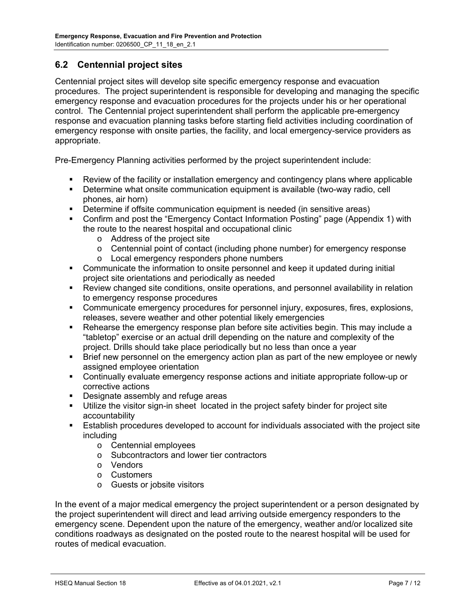#### **6.2 Centennial project sites**

Centennial project sites will develop site specific emergency response and evacuation procedures. The project superintendent is responsible for developing and managing the specific emergency response and evacuation procedures for the projects under his or her operational control. The Centennial project superintendent shall perform the applicable pre-emergency response and evacuation planning tasks before starting field activities including coordination of emergency response with onsite parties, the facility, and local emergency-service providers as appropriate.

Pre-Emergency Planning activities performed by the project superintendent include:

- Review of the facility or installation emergency and contingency plans where applicable
- Determine what onsite communication equipment is available (two-way radio, cell phones, air horn)
- Determine if offsite communication equipment is needed (in sensitive areas)
- Confirm and post the "Emergency Contact Information Posting" page (Appendix 1) with the route to the nearest hospital and occupational clinic
	- o Address of the project site
	- o Centennial point of contact (including phone number) for emergency response
	- o Local emergency responders phone numbers
- Communicate the information to onsite personnel and keep it updated during initial project site orientations and periodically as needed
- Review changed site conditions, onsite operations, and personnel availability in relation to emergency response procedures
- Communicate emergency procedures for personnel injury, exposures, fires, explosions, releases, severe weather and other potential likely emergencies
- Rehearse the emergency response plan before site activities begin. This may include a "tabletop" exercise or an actual drill depending on the nature and complexity of the project. Drills should take place periodically but no less than once a year
- Brief new personnel on the emergency action plan as part of the new employee or newly assigned employee orientation
- Continually evaluate emergency response actions and initiate appropriate follow-up or corrective actions
- Designate assembly and refuge areas
- Utilize the visitor sign-in sheet located in the project safety binder for project site accountability
- Establish procedures developed to account for individuals associated with the project site including
	- o Centennial employees
	- o Subcontractors and lower tier contractors
	- o Vendors
	- o Customers
	- o Guests or jobsite visitors

In the event of a major medical emergency the project superintendent or a person designated by the project superintendent will direct and lead arriving outside emergency responders to the emergency scene. Dependent upon the nature of the emergency, weather and/or localized site conditions roadways as designated on the posted route to the nearest hospital will be used for routes of medical evacuation.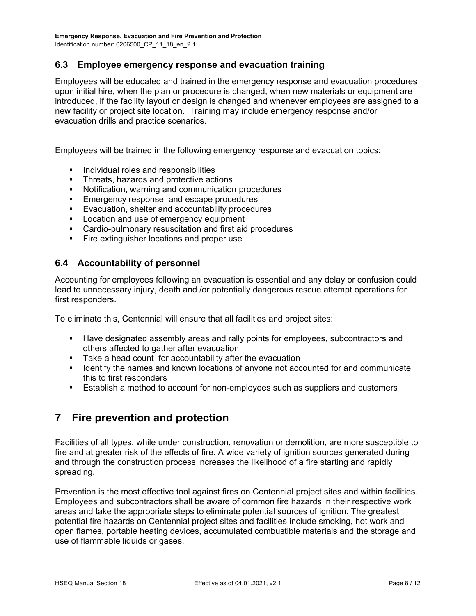#### **6.3 Employee emergency response and evacuation training**

Employees will be educated and trained in the emergency response and evacuation procedures upon initial hire, when the plan or procedure is changed, when new materials or equipment are introduced, if the facility layout or design is changed and whenever employees are assigned to a new facility or project site location. Training may include emergency response and/or evacuation drills and practice scenarios.

Employees will be trained in the following emergency response and evacuation topics:

- **Individual roles and responsibilities**
- **Threats, hazards and protective actions**
- Notification, warning and communication procedures
- **Emergency response and escape procedures**
- **Exacuation, shelter and accountability procedures**
- **Location and use of emergency equipment**
- Cardio-pulmonary resuscitation and first aid procedures
- **Fire extinguisher locations and proper use**

#### **6.4 Accountability of personnel**

Accounting for employees following an evacuation is essential and any delay or confusion could lead to unnecessary injury, death and /or potentially dangerous rescue attempt operations for first responders.

To eliminate this, Centennial will ensure that all facilities and project sites:

- Have designated assembly areas and rally points for employees, subcontractors and others affected to gather after evacuation
- **Take a head count for accountability after the evacuation**
- I dentify the names and known locations of anyone not accounted for and communicate this to first responders
- Establish a method to account for non-employees such as suppliers and customers

## **7 Fire prevention and protection**

Facilities of all types, while under construction, renovation or demolition, are more susceptible to fire and at greater risk of the effects of fire. A wide variety of ignition sources generated during and through the construction process increases the likelihood of a fire starting and rapidly spreading.

Prevention is the most effective tool against fires on Centennial project sites and within facilities. Employees and subcontractors shall be aware of common fire hazards in their respective work areas and take the appropriate steps to eliminate potential sources of ignition. The greatest potential fire hazards on Centennial project sites and facilities include smoking, hot work and open flames, portable heating devices, accumulated combustible materials and the storage and use of flammable liquids or gases.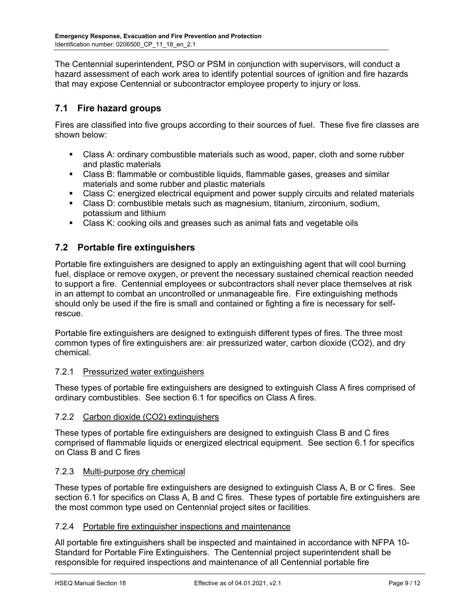The Centennial superintendent, PSO or PSM in conjunction with supervisors, will conduct a hazard assessment of each work area to identify potential sources of ignition and fire hazards that may expose Centennial or subcontractor employee property to injury or loss.

### **7.1 Fire hazard groups**

Fires are classified into five groups according to their sources of fuel. These five fire classes are shown below:

- Class A: ordinary combustible materials such as wood, paper, cloth and some rubber and plastic materials
- Class B: flammable or combustible liquids, flammable gases, greases and similar materials and some rubber and plastic materials
- Class C: energized electrical equipment and power supply circuits and related materials
- Class D: combustible metals such as magnesium, titanium, zirconium, sodium, potassium and lithium
- Class K: cooking oils and greases such as animal fats and vegetable oils

#### **7.2 Portable fire extinguishers**

Portable fire extinguishers are designed to apply an extinguishing agent that will cool burning fuel, displace or remove oxygen, or prevent the necessary sustained chemical reaction needed to support a fire. Centennial employees or subcontractors shall never place themselves at risk in an attempt to combat an uncontrolled or unmanageable fire. Fire extinguishing methods should only be used if the fire is small and contained or fighting a fire is necessary for selfrescue.

Portable fire extinguishers are designed to extinguish different types of fires. The three most common types of fire extinguishers are: air pressurized water, carbon dioxide (CO2), and dry chemical.

#### 7.2.1 Pressurized water extinguishers

These types of portable fire extinguishers are designed to extinguish Class A fires comprised of ordinary combustibles. See section 6.1 for specifics on Class A fires.

#### 7.2.2 Carbon dioxide (CO2) extinguishers

These types of portable fire extinguishers are designed to extinguish Class B and C fires comprised of flammable liquids or energized electrical equipment. See section 6.1 for specifics on Class B and C fires

#### 7.2.3 Multi-purpose dry chemical

These types of portable fire extinguishers are designed to extinguish Class A, B or C fires. See section 6.1 for specifics on Class A, B and C fires. These types of portable fire extinguishers are the most common type used on Centennial project sites or facilities.

#### 7.2.4 Portable fire extinguisher inspections and maintenance

All portable fire extinguishers shall be inspected and maintained in accordance with NFPA 10- Standard for Portable Fire Extinguishers. The Centennial project superintendent shall be responsible for required inspections and maintenance of all Centennial portable fire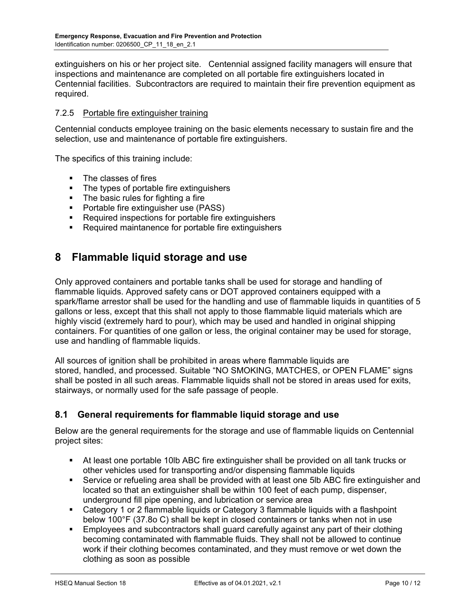extinguishers on his or her project site. Centennial assigned facility managers will ensure that inspections and maintenance are completed on all portable fire extinguishers located in Centennial facilities. Subcontractors are required to maintain their fire prevention equipment as required.

#### 7.2.5 Portable fire extinguisher training

Centennial conducts employee training on the basic elements necessary to sustain fire and the selection, use and maintenance of portable fire extinguishers.

The specifics of this training include:

- The classes of fires
- The types of portable fire extinguishers
- The basic rules for fighting a fire
- **Portable fire extinguisher use (PASS)**
- Required inspections for portable fire extinguishers
- Required maintanence for portable fire extinguishers

## **8 Flammable liquid storage and use**

Only approved containers and portable tanks shall be used for storage and handling of flammable liquids. Approved safety cans or DOT approved containers equipped with a spark/flame arrestor shall be used for the handling and use of flammable liquids in quantities of 5 gallons or less, except that this shall not apply to those flammable liquid materials which are highly viscid (extremely hard to pour), which may be used and handled in original shipping containers. For quantities of one gallon or less, the original container may be used for storage, use and handling of flammable liquids.

All sources of ignition shall be prohibited in areas where flammable liquids are stored, handled, and processed. Suitable "NO SMOKING, MATCHES, or OPEN FLAME" signs shall be posted in all such areas. Flammable liquids shall not be stored in areas used for exits, stairways, or normally used for the safe passage of people.

#### **8.1 General requirements for flammable liquid storage and use**

Below are the general requirements for the storage and use of flammable liquids on Centennial project sites:

- At least one portable 10lb ABC fire extinguisher shall be provided on all tank trucks or other vehicles used for transporting and/or dispensing flammable liquids
- Service or refueling area shall be provided with at least one 5lb ABC fire extinguisher and located so that an extinguisher shall be within 100 feet of each pump, dispenser, underground fill pipe opening, and lubrication or service area
- Category 1 or 2 flammable liquids or Category 3 flammable liquids with a flashpoint below 100°F (37.8o C) shall be kept in closed containers or tanks when not in use
- Employees and subcontractors shall guard carefully against any part of their clothing becoming contaminated with flammable fluids. They shall not be allowed to continue work if their clothing becomes contaminated, and they must remove or wet down the clothing as soon as possible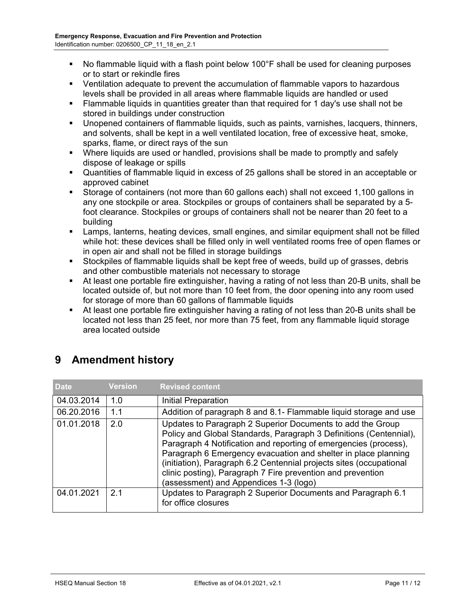- No flammable liquid with a flash point below 100°F shall be used for cleaning purposes or to start or rekindle fires
- Ventilation adequate to prevent the accumulation of flammable vapors to hazardous levels shall be provided in all areas where flammable liquids are handled or used
- Flammable liquids in quantities greater than that required for 1 day's use shall not be stored in buildings under construction
- Unopened containers of flammable liquids, such as paints, varnishes, lacquers, thinners, and solvents, shall be kept in a well ventilated location, free of excessive heat, smoke, sparks, flame, or direct rays of the sun
- Where liquids are used or handled, provisions shall be made to promptly and safely dispose of leakage or spills
- Quantities of flammable liquid in excess of 25 gallons shall be stored in an acceptable or approved cabinet
- Storage of containers (not more than 60 gallons each) shall not exceed 1,100 gallons in any one stockpile or area. Stockpiles or groups of containers shall be separated by a 5 foot clearance. Stockpiles or groups of containers shall not be nearer than 20 feet to a building
- Lamps, lanterns, heating devices, small engines, and similar equipment shall not be filled while hot: these devices shall be filled only in well ventilated rooms free of open flames or in open air and shall not be filled in storage buildings
- Stockpiles of flammable liquids shall be kept free of weeds, build up of grasses, debris and other combustible materials not necessary to storage
- At least one portable fire extinguisher, having a rating of not less than 20-B units, shall be located outside of, but not more than 10 feet from, the door opening into any room used for storage of more than 60 gallons of flammable liquids
- At least one portable fire extinguisher having a rating of not less than 20-B units shall be located not less than 25 feet, nor more than 75 feet, from any flammable liquid storage area located outside

| <b>Date</b> | <b>Version</b> | <b>Revised content</b>                                                                                                                                                                                                                                                                                                                                                                                                                                 |
|-------------|----------------|--------------------------------------------------------------------------------------------------------------------------------------------------------------------------------------------------------------------------------------------------------------------------------------------------------------------------------------------------------------------------------------------------------------------------------------------------------|
| 04.03.2014  | 1.0            | Initial Preparation                                                                                                                                                                                                                                                                                                                                                                                                                                    |
| 06.20.2016  | 1.1            | Addition of paragraph 8 and 8.1- Flammable liquid storage and use                                                                                                                                                                                                                                                                                                                                                                                      |
| 01.01.2018  | 2.0            | Updates to Paragraph 2 Superior Documents to add the Group<br>Policy and Global Standards, Paragraph 3 Definitions (Centennial),<br>Paragraph 4 Notification and reporting of emergencies (process),<br>Paragraph 6 Emergency evacuation and shelter in place planning<br>(initiation), Paragraph 6.2 Centennial projects sites (occupational<br>clinic posting), Paragraph 7 Fire prevention and prevention<br>(assessment) and Appendices 1-3 (logo) |
| 04.01.2021  | 2 <sub>1</sub> | Updates to Paragraph 2 Superior Documents and Paragraph 6.1<br>for office closures                                                                                                                                                                                                                                                                                                                                                                     |

## **9 Amendment history**